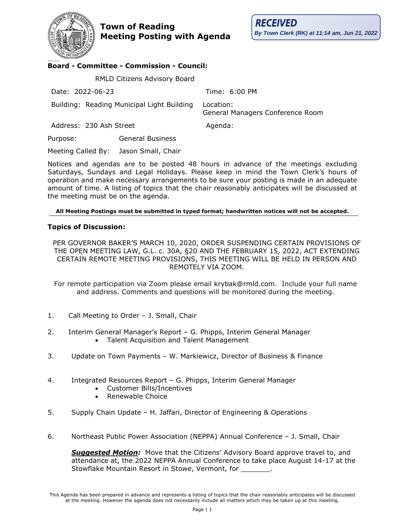**Town of Reading Meeting Posting with Agenda**



## 2018-07-16 LAG **Board - Committee - Commission - Council:**

 RMLD Citizens Advisory Board Date: 2022-06-23 Time: 6:00 PM Building: Reading Municipal Light Building Location: General Managers Conference Room Address: 230 Ash Street Agenda: Purpose: General Business

Meeting Called By: Jason Small, Chair

Notices and agendas are to be posted 48 hours in advance of the meetings excluding Saturdays, Sundays and Legal Holidays. Please keep in mind the Town Clerk's hours of operation and make necessary arrangements to be sure your posting is made in an adequate amount of time. A listing of topics that the chair reasonably anticipates will be discussed at the meeting must be on the agenda.

## **All Meeting Postings must be submitted in typed format; handwritten notices will not be accepted.**

## **Topics of Discussion:**

PER GOVERNOR BAKER'S MARCH 10, 2020, ORDER SUSPENDING CERTAIN PROVISIONS OF THE OPEN MEETING LAW, G.L. c. 30A, §20 AND THE FEBRUARY 15, 2022, ACT EXTENDING CERTAIN REMOTE MEETING PROVISIONS, THIS MEETING WILL BE HELD IN PERSON AND REMOTELY VIA ZOOM.

For remote participation via Zoom please email krybak@rmld.com. Include your full name and address. Comments and questions will be monitored during the meeting.

- 1. Call Meeting to Order J. Small, Chair
- 2. Interim General Manager's Report G. Phipps, Interim General Manager • Talent Acquisition and Talent Management
- 3. Update on Town Payments W. Markiewicz, Director of Business & Finance
- 4. Integrated Resources Report G. Phipps, Interim General Manager
	- Customer Bills/Incentives
	- Renewable Choice
- 5. Supply Chain Update H. Jaffari, Director of Engineering & Operations
- 6. Northeast Public Power Association (NEPPA) Annual Conference J. Small, Chair

*Suggested Motion:* Move that the Citizens' Advisory Board approve travel to, and attendance at, the 2022 NEPPA Annual Conference to take place August 14-17 at the Stowflake Mountain Resort in Stowe, Vermont, for